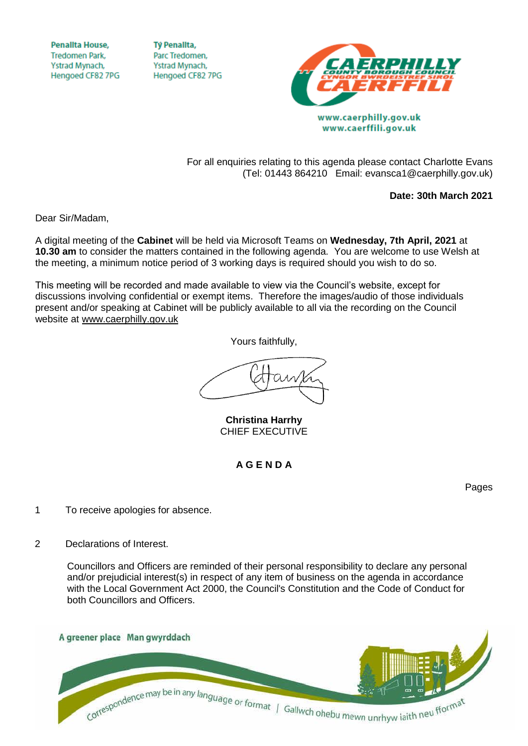**Penallta House, Tredomen Park.** Ystrad Mynach, Hengoed CF82 7PG

**TV Penallta,** Parc Tredomen. Ystrad Mynach, Hengoed CF82 7PG



www.caerphilly.gov.uk www.caerffili.gov.uk

For all enquiries relating to this agenda please contact Charlotte Evans (Tel: 01443 864210 Email: evansca1@caerphilly.gov.uk)

**Date: 30th March 2021**

Dear Sir/Madam,

A digital meeting of the **Cabinet** will be held via Microsoft Teams on **Wednesday, 7th April, 2021** at **10.30 am** to consider the matters contained in the following agenda. You are welcome to use Welsh at the meeting, a minimum notice period of 3 working days is required should you wish to do so.

This meeting will be recorded and made available to view via the Council's website, except for discussions involving confidential or exempt items. Therefore the images/audio of those individuals present and/or speaking at Cabinet will be publicly available to all via the recording on the Council website at [www.caerphilly.gov.uk](http://www.caerphilly.gov.uk/)

Yours faithfully,

**Christina Harrhy** CHIEF EXECUTIVE

**A G E N D A**

Pages

1 To receive apologies for absence.

## 2 Declarations of Interest.

Councillors and Officers are reminded of their personal responsibility to declare any personal and/or prejudicial interest(s) in respect of any item of business on the agenda in accordance with the Local Government Act 2000, the Council's Constitution and the Code of Conduct for both Councillors and Officers.